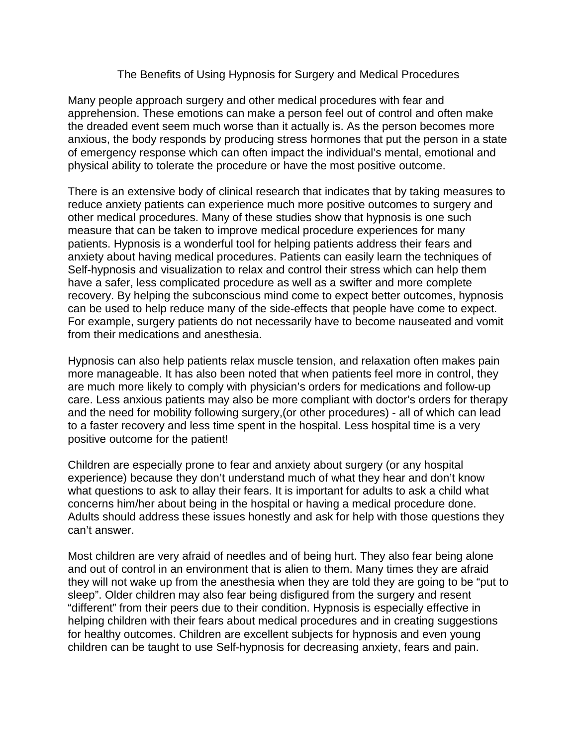## The Benefits of Using Hypnosis for Surgery and Medical Procedures

Many people approach surgery and other medical procedures with fear and apprehension. These emotions can make a person feel out of control and often make the dreaded event seem much worse than it actually is. As the person becomes more anxious, the body responds by producing stress hormones that put the person in a state of emergency response which can often impact the individual's mental, emotional and physical ability to tolerate the procedure or have the most positive outcome.

There is an extensive body of clinical research that indicates that by taking measures to reduce anxiety patients can experience much more positive outcomes to surgery and other medical procedures. Many of these studies show that hypnosis is one such measure that can be taken to improve medical procedure experiences for many patients. Hypnosis is a wonderful tool for helping patients address their fears and anxiety about having medical procedures. Patients can easily learn the techniques of Self-hypnosis and visualization to relax and control their stress which can help them have a safer, less complicated procedure as well as a swifter and more complete recovery. By helping the subconscious mind come to expect better outcomes, hypnosis can be used to help reduce many of the side-effects that people have come to expect. For example, surgery patients do not necessarily have to become nauseated and vomit from their medications and anesthesia.

Hypnosis can also help patients relax muscle tension, and relaxation often makes pain more manageable. It has also been noted that when patients feel more in control, they are much more likely to comply with physician's orders for medications and follow-up care. Less anxious patients may also be more compliant with doctor's orders for therapy and the need for mobility following surgery,(or other procedures) - all of which can lead to a faster recovery and less time spent in the hospital. Less hospital time is a very positive outcome for the patient!

Children are especially prone to fear and anxiety about surgery (or any hospital experience) because they don't understand much of what they hear and don't know what questions to ask to allay their fears. It is important for adults to ask a child what concerns him/her about being in the hospital or having a medical procedure done. Adults should address these issues honestly and ask for help with those questions they can't answer.

Most children are very afraid of needles and of being hurt. They also fear being alone and out of control in an environment that is alien to them. Many times they are afraid they will not wake up from the anesthesia when they are told they are going to be "put to sleep". Older children may also fear being disfigured from the surgery and resent "different" from their peers due to their condition. Hypnosis is especially effective in helping children with their fears about medical procedures and in creating suggestions for healthy outcomes. Children are excellent subjects for hypnosis and even young children can be taught to use Self-hypnosis for decreasing anxiety, fears and pain.